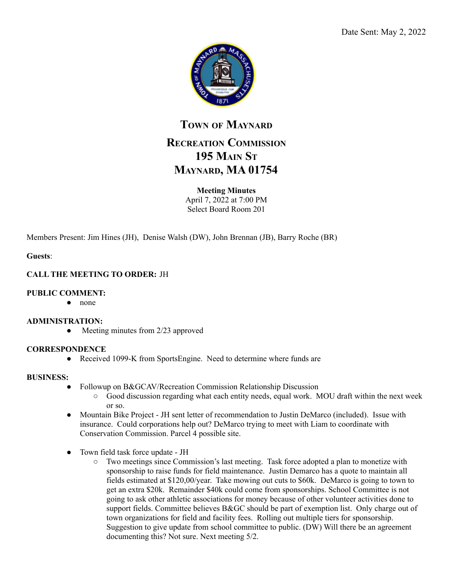

## **TOWN OF MAYNARD**

# **RECREATION COMMISSION 195 MAIN ST MAYNARD, MA 01754**

## **Meeting Minutes**

April 7, 2022 at 7:00 PM Select Board Room 201

Members Present: Jim Hines (JH), Denise Walsh (DW), John Brennan (JB), Barry Roche (BR)

**Guests**:

## **CALL THE MEETING TO ORDER:** JH

### **PUBLIC COMMENT:**

● none

#### **ADMINISTRATION:**

• Meeting minutes from 2/23 approved

## **CORRESPONDENCE**

• Received 1099-K from SportsEngine. Need to determine where funds are

#### **BUSINESS:**

- Followup on B&GCAV/Recreation Commission Relationship Discussion
	- $\circ$  Good discussion regarding what each entity needs, equal work. MOU draft within the next week or so.
- Mountain Bike Project JH sent letter of recommendation to Justin DeMarco (included). Issue with insurance. Could corporations help out? DeMarco trying to meet with Liam to coordinate with Conservation Commission. Parcel 4 possible site.
- Town field task force update JH
	- Two meetings since Commission's last meeting. Task force adopted a plan to monetize with sponsorship to raise funds for field maintenance. Justin Demarco has a quote to maintain all fields estimated at \$120,00/year. Take mowing out cuts to \$60k. DeMarco is going to town to get an extra \$20k. Remainder \$40k could come from sponsorships. School Committee is not going to ask other athletic associations for money because of other volunteer activities done to support fields. Committee believes B&GC should be part of exemption list. Only charge out of town organizations for field and facility fees. Rolling out multiple tiers for sponsorship. Suggestion to give update from school committee to public. (DW) Will there be an agreement documenting this? Not sure. Next meeting 5/2.